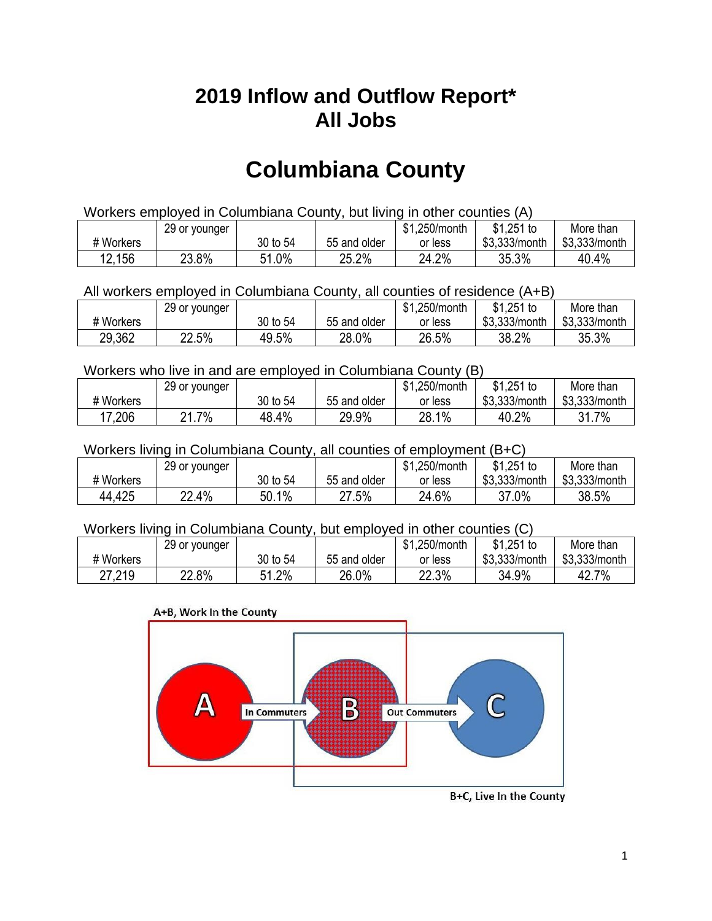## **2019 Inflow and Outflow Report\* All Jobs**

# **Columbiana County**

| Workers employed in Columbiana County, but living in other counties (A) |                                                           |          |              |         |               |               |  |  |  |
|-------------------------------------------------------------------------|-----------------------------------------------------------|----------|--------------|---------|---------------|---------------|--|--|--|
|                                                                         | \$1.251 to<br>More than<br>\$1,250/month<br>29 or younger |          |              |         |               |               |  |  |  |
| # Workers                                                               |                                                           | 30 to 54 | 55 and older | or less | \$3.333/month | \$3,333/month |  |  |  |
| 12,156                                                                  | 23.8%                                                     | 51.0%    | 25.2%        | 24.2%   | 35.3%         | 40.4%         |  |  |  |

All workers employed in Columbiana County, all counties of residence (A+B)

|           | 29 or younger |          |              | \$1,250/month | \$1,251 to    | More than     |
|-----------|---------------|----------|--------------|---------------|---------------|---------------|
| # Workers |               | 30 to 54 | 55 and older | or less       | \$3,333/month | \$3,333/month |
| 29,362    | 22.5%         | 49.5%    | 28.0%        | 26.5%         | 38.2%         | 35.3%         |

Workers who live in and are employed in Columbiana County (B)

|           | 29 or younger |          |              | \$1,250/month | $$1,251$ to   | More than     |
|-----------|---------------|----------|--------------|---------------|---------------|---------------|
| # Workers |               | 30 to 54 | 55 and older | or less       | \$3,333/month | \$3,333/month |
| 17,206    | .7%<br>ິດ     | 48.4%    | 29.9%        | 28.1%         | 40.2%         | 7%            |

Workers living in Columbiana County, all counties of employment (B+C)

|           | 29 or younger |          |              | \$1,250/month | \$1,251 to    | More than     |
|-----------|---------------|----------|--------------|---------------|---------------|---------------|
| # Workers |               | 30 to 54 | 55 and older | or less       | \$3,333/month | \$3,333/month |
| 44,425    | 22.4%         | 50.1%    | 27.5%        | 24.6%         | 37.0%         | 38.5%         |

#### Workers living in Columbiana County, but employed in other counties (C)

|           | 29 or younger |               |              | \$1,250/month | $$1,251$ to   | More than     |
|-----------|---------------|---------------|--------------|---------------|---------------|---------------|
| # Workers |               | 30 to 54      | 55 and older | or less       | \$3,333/month | \$3,333/month |
| 27,219    | 22.8%         | $.2\%$<br>с 1 | 26.0%        | 22.3%         | 34.9%         | 42.7%         |





B+C, Live In the County